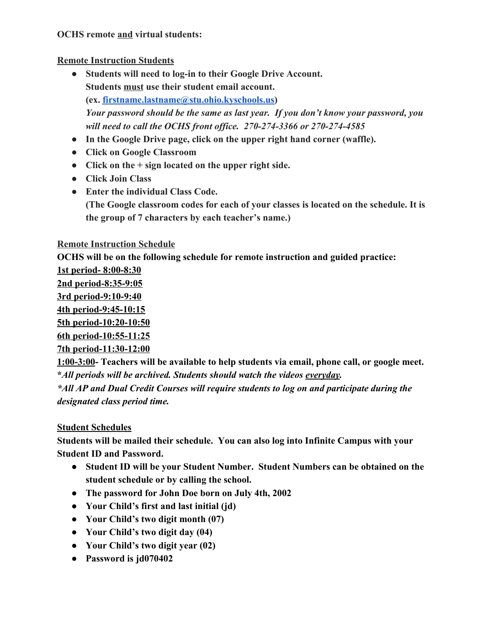### **OCHS remote and virtual students:**

### **Remote Instruction Students**

- **● Students will need to log-in to their Google Drive Account. Students must use their student email account. (ex. [firstname.lastname@stu.ohio.kyschools.us\)](mailto:firstname.lastname@stu.ohio.kyschools.us)** *Your password should be the same as last year. If you don't know your password, you will need to call the OCHS front office. 270-274-3366 or 270-274-4585*
- **● In the Google Drive page, click on the upper right hand corner (waffle).**
- **● Click on Google Classroom**
- **● Click on the + sign located on the upper right side.**
- **● Click Join Class**
- **● Enter the individual Class Code. (The Google classroom codes for each of your classes is located on the schedule. It is the group of 7 characters by each teacher's name.)**

## **Remote Instruction Schedule**

**OCHS will be on the following schedule for remote instruction and guided practice:**

**1st period- 8:00-8:30**

**2nd period-8:35-9:05**

**3rd period-9:10-9:40 4th period-9:45-10:15**

**5th period-10:20-10:50**

**6th period-10:55-11:25**

**7th period-11:30-12:00**

**1:00-3:00- Teachers will be available to help students via email, phone call, or google meet. \****All periods will be archived. Students should watch the videos everyday.*

*\*All AP and Dual Credit Courses will require students to log on and participate during the designated class period time.*

# **Student Schedules**

**Students will be mailed their schedule. You can also log into Infinite Campus with your Student ID and Password.**

- **● Student ID will be your Student Number. Student Numbers can be obtained on the student schedule or by calling the school.**
- **● The password for John Doe born on July 4th, 2002**
- **● Your Child's first and last initial (jd)**
- **● Your Child's two digit month (07)**
- **● Your Child's two digit day (04)**
- **● Your Child's two digit year (02)**
- **● Password is jd070402**